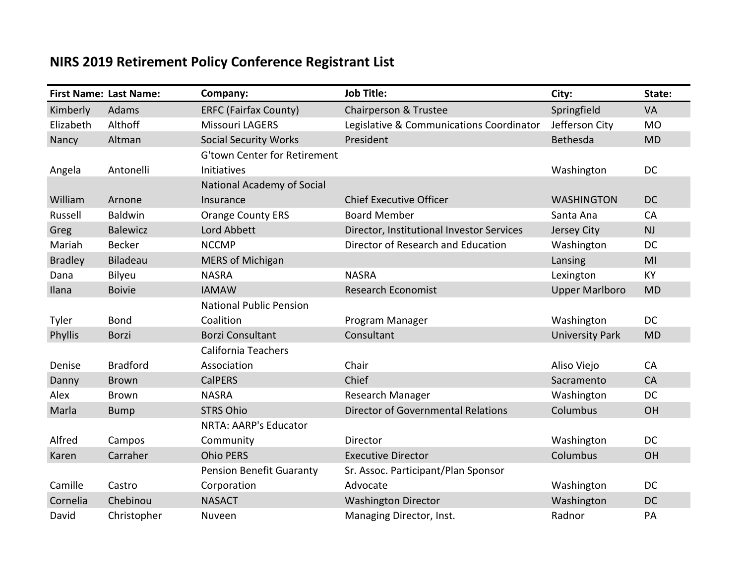## **NIRS 2019 Retirement Policy Conference Registrant List**

|                | <b>First Name: Last Name:</b> | Company:                            | <b>Job Title:</b>                         | City:                  | State:    |
|----------------|-------------------------------|-------------------------------------|-------------------------------------------|------------------------|-----------|
| Kimberly       | Adams                         | <b>ERFC (Fairfax County)</b>        | Chairperson & Trustee                     | Springfield            | VA        |
| Elizabeth      | Althoff                       | <b>Missouri LAGERS</b>              | Legislative & Communications Coordinator  | Jefferson City         | <b>MO</b> |
| Nancy          | Altman                        | <b>Social Security Works</b>        | President                                 | Bethesda               | <b>MD</b> |
|                |                               | <b>G'town Center for Retirement</b> |                                           |                        |           |
| Angela         | Antonelli                     | Initiatives                         |                                           | Washington             | <b>DC</b> |
|                |                               | <b>National Academy of Social</b>   |                                           |                        |           |
| William        | Arnone                        | Insurance                           | <b>Chief Executive Officer</b>            | <b>WASHINGTON</b>      | <b>DC</b> |
| Russell        | <b>Baldwin</b>                | <b>Orange County ERS</b>            | <b>Board Member</b>                       | Santa Ana              | CA        |
| Greg           | <b>Balewicz</b>               | Lord Abbett                         | Director, Institutional Investor Services | Jersey City            | NJ        |
| Mariah         | <b>Becker</b>                 | <b>NCCMP</b>                        | Director of Research and Education        | Washington             | <b>DC</b> |
| <b>Bradley</b> | Biladeau                      | <b>MERS of Michigan</b>             |                                           | Lansing                | MI        |
| Dana           | Bilyeu                        | <b>NASRA</b>                        | <b>NASRA</b>                              | Lexington              | <b>KY</b> |
| Ilana          | <b>Boivie</b>                 | <b>IAMAW</b>                        | <b>Research Economist</b>                 | <b>Upper Marlboro</b>  | <b>MD</b> |
|                |                               | <b>National Public Pension</b>      |                                           |                        |           |
| Tyler          | <b>Bond</b>                   | Coalition                           | Program Manager                           | Washington             | <b>DC</b> |
| Phyllis        | Borzi                         | <b>Borzi Consultant</b>             | Consultant                                | <b>University Park</b> | <b>MD</b> |
|                |                               | <b>California Teachers</b>          |                                           |                        |           |
| Denise         | <b>Bradford</b>               | Association                         | Chair                                     | Aliso Viejo            | CA        |
| Danny          | <b>Brown</b>                  | <b>CalPERS</b>                      | Chief                                     | Sacramento             | CA        |
| Alex           | <b>Brown</b>                  | <b>NASRA</b>                        | Research Manager                          | Washington             | <b>DC</b> |
| Marla          | <b>Bump</b>                   | <b>STRS Ohio</b>                    | <b>Director of Governmental Relations</b> | Columbus               | OH        |
|                |                               | NRTA: AARP's Educator               |                                           |                        |           |
| Alfred         | Campos                        | Community                           | Director                                  | Washington             | DC        |
| Karen          | Carraher                      | <b>Ohio PERS</b>                    | <b>Executive Director</b>                 | Columbus               | OH        |
|                |                               | <b>Pension Benefit Guaranty</b>     | Sr. Assoc. Participant/Plan Sponsor       |                        |           |
| Camille        | Castro                        | Corporation                         | Advocate                                  | Washington             | DC        |
| Cornelia       | Chebinou                      | <b>NASACT</b>                       | <b>Washington Director</b>                | Washington             | <b>DC</b> |
| David          | Christopher                   | Nuveen                              | Managing Director, Inst.                  | Radnor                 | PA        |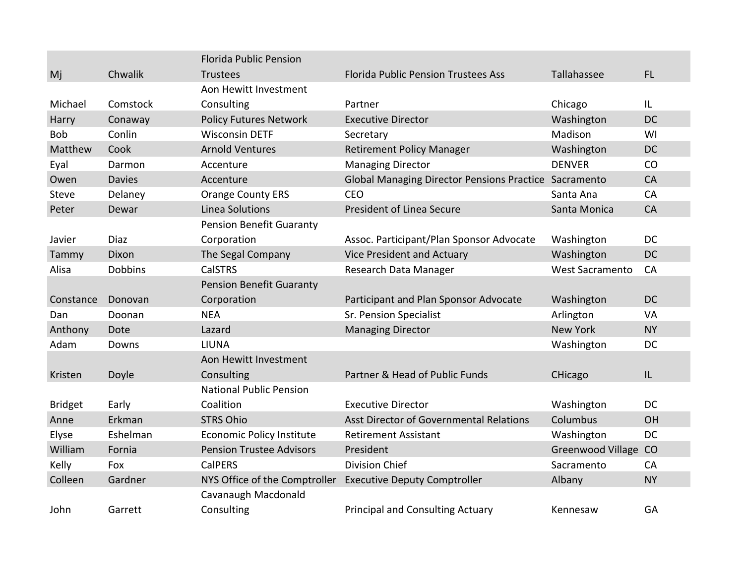|                |                | <b>Florida Public Pension</b>    |                                                       |                        |           |
|----------------|----------------|----------------------------------|-------------------------------------------------------|------------------------|-----------|
| Mj             | Chwalik        | <b>Trustees</b>                  | <b>Florida Public Pension Trustees Ass</b>            | Tallahassee            | FL        |
|                |                | Aon Hewitt Investment            |                                                       |                        |           |
| Michael        | Comstock       | Consulting                       | Partner                                               | Chicago                | IL        |
| Harry          | Conaway        | <b>Policy Futures Network</b>    | <b>Executive Director</b>                             | Washington             | <b>DC</b> |
| <b>Bob</b>     | Conlin         | <b>Wisconsin DETF</b>            | Secretary                                             | Madison                | WI        |
| Matthew        | Cook           | <b>Arnold Ventures</b>           | <b>Retirement Policy Manager</b>                      | Washington             | <b>DC</b> |
| Eyal           | Darmon         | Accenture                        | <b>Managing Director</b>                              | <b>DENVER</b>          | CO        |
| Owen           | <b>Davies</b>  | Accenture                        | Global Managing Director Pensions Practice Sacramento |                        | CA        |
| Steve          | Delaney        | <b>Orange County ERS</b>         | <b>CEO</b>                                            | Santa Ana              | CA        |
| Peter          | Dewar          | <b>Linea Solutions</b>           | <b>President of Linea Secure</b>                      | Santa Monica           | <b>CA</b> |
|                |                | <b>Pension Benefit Guaranty</b>  |                                                       |                        |           |
| Javier         | <b>Diaz</b>    | Corporation                      | Assoc. Participant/Plan Sponsor Advocate              | Washington             | <b>DC</b> |
| Tammy          | Dixon          | The Segal Company                | <b>Vice President and Actuary</b>                     | Washington             | <b>DC</b> |
| Alisa          | <b>Dobbins</b> | <b>CalSTRS</b>                   | Research Data Manager                                 | <b>West Sacramento</b> | CA        |
|                |                | <b>Pension Benefit Guaranty</b>  |                                                       |                        |           |
| Constance      | Donovan        | Corporation                      | Participant and Plan Sponsor Advocate                 | Washington             | <b>DC</b> |
| Dan            | Doonan         | <b>NEA</b>                       | <b>Sr. Pension Specialist</b>                         | Arlington              | VA        |
| Anthony        | Dote           | Lazard                           | <b>Managing Director</b>                              | <b>New York</b>        | <b>NY</b> |
| Adam           | Downs          | LIUNA                            |                                                       | Washington             | <b>DC</b> |
|                |                | Aon Hewitt Investment            |                                                       |                        |           |
| Kristen        | Doyle          | Consulting                       | Partner & Head of Public Funds                        | CHicago                | IL        |
|                |                | <b>National Public Pension</b>   |                                                       |                        |           |
| <b>Bridget</b> | Early          | Coalition                        | <b>Executive Director</b>                             | Washington             | <b>DC</b> |
| Anne           | Erkman         | <b>STRS Ohio</b>                 | Asst Director of Governmental Relations               | Columbus               | OH        |
| Elyse          | Eshelman       | <b>Economic Policy Institute</b> | <b>Retirement Assistant</b>                           | Washington             | <b>DC</b> |
| William        | Fornia         | <b>Pension Trustee Advisors</b>  | President                                             | Greenwood Village CO   |           |
| Kelly          | Fox            | <b>CalPERS</b>                   | <b>Division Chief</b>                                 | Sacramento             | CA        |
| Colleen        | Gardner        | NYS Office of the Comptroller    | <b>Executive Deputy Comptroller</b>                   | Albany                 | <b>NY</b> |
|                |                | Cavanaugh Macdonald              |                                                       |                        |           |
| John           | Garrett        | Consulting                       | <b>Principal and Consulting Actuary</b>               | Kennesaw               | GA        |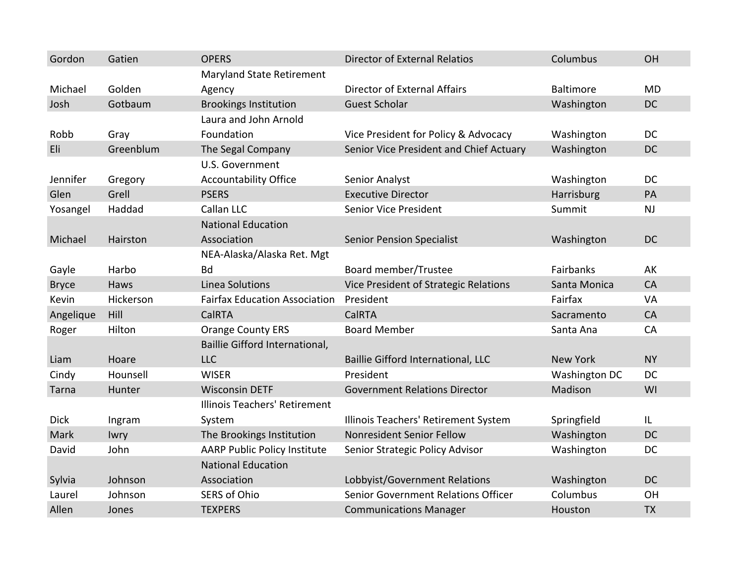| Gordon       | Gatien    | <b>OPERS</b>                         | <b>Director of External Relatios</b>       | Columbus         | <b>OH</b> |
|--------------|-----------|--------------------------------------|--------------------------------------------|------------------|-----------|
|              |           | <b>Maryland State Retirement</b>     |                                            |                  |           |
| Michael      | Golden    | Agency                               | <b>Director of External Affairs</b>        | <b>Baltimore</b> | <b>MD</b> |
| Josh         | Gotbaum   | <b>Brookings Institution</b>         | <b>Guest Scholar</b>                       | Washington       | <b>DC</b> |
|              |           | Laura and John Arnold                |                                            |                  |           |
| Robb         | Gray      | Foundation                           | Vice President for Policy & Advocacy       | Washington       | <b>DC</b> |
| Eli          | Greenblum | The Segal Company                    | Senior Vice President and Chief Actuary    | Washington       | <b>DC</b> |
|              |           | U.S. Government                      |                                            |                  |           |
| Jennifer     | Gregory   | <b>Accountability Office</b>         | Senior Analyst                             | Washington       | <b>DC</b> |
| Glen         | Grell     | <b>PSERS</b>                         | <b>Executive Director</b>                  | Harrisburg       | PA        |
| Yosangel     | Haddad    | Callan LLC                           | <b>Senior Vice President</b>               | Summit           | <b>NJ</b> |
|              |           | <b>National Education</b>            |                                            |                  |           |
| Michael      | Hairston  | Association                          | <b>Senior Pension Specialist</b>           | Washington       | <b>DC</b> |
|              |           | NEA-Alaska/Alaska Ret. Mgt           |                                            |                  |           |
| Gayle        | Harbo     | <b>Bd</b>                            | Board member/Trustee                       | Fairbanks        | AK        |
| <b>Bryce</b> | Haws      | <b>Linea Solutions</b>               | Vice President of Strategic Relations      | Santa Monica     | CA        |
| Kevin        | Hickerson | <b>Fairfax Education Association</b> | President                                  | Fairfax          | VA        |
| Angelique    | Hill      | <b>CalRTA</b>                        | CalRTA                                     | Sacramento       | CA        |
| Roger        | Hilton    | <b>Orange County ERS</b>             | <b>Board Member</b>                        | Santa Ana        | CA        |
|              |           | Baillie Gifford International,       |                                            |                  |           |
| Liam         | Hoare     | <b>LLC</b>                           | Baillie Gifford International, LLC         | <b>New York</b>  | <b>NY</b> |
| Cindy        | Hounsell  | <b>WISER</b>                         | President                                  | Washington DC    | <b>DC</b> |
| Tarna        | Hunter    | <b>Wisconsin DETF</b>                | <b>Government Relations Director</b>       | Madison          | WI        |
|              |           | <b>Illinois Teachers' Retirement</b> |                                            |                  |           |
| <b>Dick</b>  | Ingram    | System                               | Illinois Teachers' Retirement System       | Springfield      | IL        |
| Mark         | Iwry      | The Brookings Institution            | Nonresident Senior Fellow                  | Washington       | <b>DC</b> |
| David        | John      | <b>AARP Public Policy Institute</b>  | Senior Strategic Policy Advisor            | Washington       | DC        |
|              |           | <b>National Education</b>            |                                            |                  |           |
| Sylvia       | Johnson   | Association                          | Lobbyist/Government Relations              | Washington       | <b>DC</b> |
| Laurel       | Johnson   | <b>SERS of Ohio</b>                  | <b>Senior Government Relations Officer</b> | Columbus         | OH        |
| Allen        | Jones     | <b>TEXPERS</b>                       | <b>Communications Manager</b>              | Houston          | <b>TX</b> |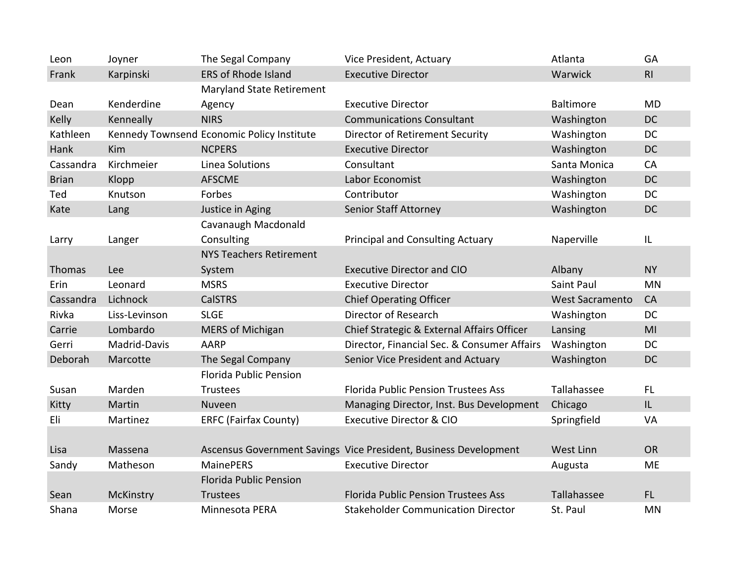| Leon         | Joyner           | The Segal Company                          | Vice President, Actuary                                          | Atlanta                | GA        |
|--------------|------------------|--------------------------------------------|------------------------------------------------------------------|------------------------|-----------|
| Frank        | Karpinski        | <b>ERS of Rhode Island</b>                 | <b>Executive Director</b>                                        | Warwick                | RI        |
|              |                  | <b>Maryland State Retirement</b>           |                                                                  |                        |           |
| Dean         | Kenderdine       | Agency                                     | <b>Executive Director</b>                                        | <b>Baltimore</b>       | <b>MD</b> |
| Kelly        | Kenneally        | <b>NIRS</b>                                | <b>Communications Consultant</b>                                 | Washington             | <b>DC</b> |
| Kathleen     |                  | Kennedy Townsend Economic Policy Institute | <b>Director of Retirement Security</b>                           | Washington             | <b>DC</b> |
| Hank         | Kim              | <b>NCPERS</b>                              | <b>Executive Director</b>                                        | Washington             | <b>DC</b> |
| Cassandra    | Kirchmeier       | Linea Solutions                            | Consultant                                                       | Santa Monica           | CA        |
| <b>Brian</b> | Klopp            | <b>AFSCME</b>                              | Labor Economist                                                  | Washington             | <b>DC</b> |
| Ted          | Knutson          | Forbes                                     | Contributor                                                      | Washington             | <b>DC</b> |
| Kate         | Lang             | Justice in Aging                           | <b>Senior Staff Attorney</b>                                     | Washington             | <b>DC</b> |
|              |                  | Cavanaugh Macdonald                        |                                                                  |                        |           |
| Larry        | Langer           | Consulting                                 | <b>Principal and Consulting Actuary</b>                          | Naperville             | IL        |
|              |                  | <b>NYS Teachers Retirement</b>             |                                                                  |                        |           |
| Thomas       | Lee              | System                                     | <b>Executive Director and CIO</b>                                | Albany                 | <b>NY</b> |
| Erin         | Leonard          | <b>MSRS</b>                                | <b>Executive Director</b>                                        | Saint Paul             | <b>MN</b> |
| Cassandra    | Lichnock         | <b>CalSTRS</b>                             | <b>Chief Operating Officer</b>                                   | <b>West Sacramento</b> | CA        |
| Rivka        | Liss-Levinson    | <b>SLGE</b>                                | Director of Research                                             | Washington             | <b>DC</b> |
| Carrie       | Lombardo         | <b>MERS of Michigan</b>                    | Chief Strategic & External Affairs Officer                       | Lansing                | MI        |
| Gerri        | Madrid-Davis     | <b>AARP</b>                                | Director, Financial Sec. & Consumer Affairs                      | Washington             | DC        |
| Deborah      | Marcotte         | The Segal Company                          | Senior Vice President and Actuary                                | Washington             | DC        |
|              |                  | <b>Florida Public Pension</b>              |                                                                  |                        |           |
| Susan        | Marden           | <b>Trustees</b>                            | <b>Florida Public Pension Trustees Ass</b>                       | Tallahassee            | <b>FL</b> |
| Kitty        | Martin           | Nuveen                                     | Managing Director, Inst. Bus Development                         | Chicago                | IL        |
| Eli          | Martinez         | <b>ERFC (Fairfax County)</b>               | <b>Executive Director &amp; CIO</b>                              | Springfield            | VA        |
|              |                  |                                            |                                                                  |                        |           |
| Lisa         | Massena          |                                            | Ascensus Government Savings Vice President, Business Development | <b>West Linn</b>       | <b>OR</b> |
| Sandy        | Matheson         | <b>MainePERS</b>                           | <b>Executive Director</b>                                        | Augusta                | <b>ME</b> |
|              |                  | <b>Florida Public Pension</b>              |                                                                  |                        |           |
| Sean         | <b>McKinstry</b> | <b>Trustees</b>                            | <b>Florida Public Pension Trustees Ass</b>                       | Tallahassee            | FL.       |
| Shana        | Morse            | Minnesota PERA                             | <b>Stakeholder Communication Director</b>                        | St. Paul               | <b>MN</b> |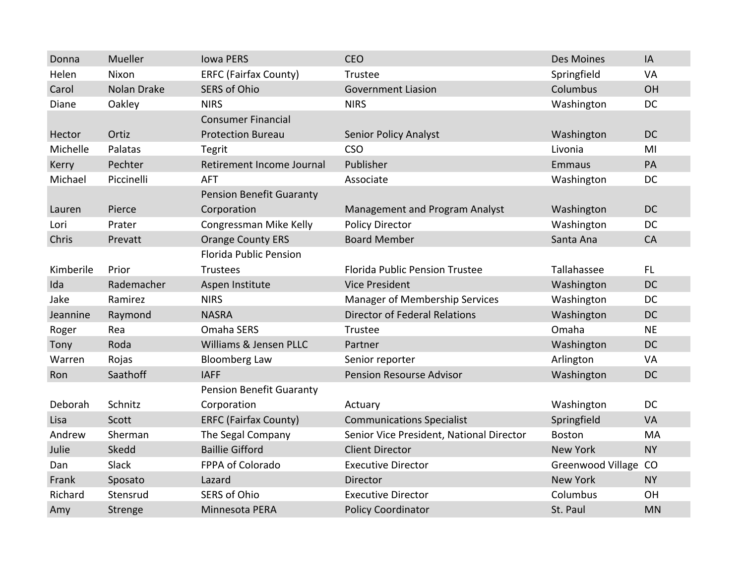| Donna     | Mueller            | <b>Iowa PERS</b>                | <b>CEO</b>                               | Des Moines           | IA        |
|-----------|--------------------|---------------------------------|------------------------------------------|----------------------|-----------|
| Helen     | Nixon              | <b>ERFC (Fairfax County)</b>    | Trustee                                  | Springfield          | VA        |
| Carol     | <b>Nolan Drake</b> | <b>SERS of Ohio</b>             | <b>Government Liasion</b>                | Columbus             | OH        |
| Diane     | Oakley             | <b>NIRS</b>                     | <b>NIRS</b>                              | Washington           | <b>DC</b> |
|           |                    | <b>Consumer Financial</b>       |                                          |                      |           |
| Hector    | Ortiz              | <b>Protection Bureau</b>        | <b>Senior Policy Analyst</b>             | Washington           | <b>DC</b> |
| Michelle  | Palatas            | <b>Tegrit</b>                   | <b>CSO</b>                               | Livonia              | MI        |
| Kerry     | Pechter            | Retirement Income Journal       | Publisher                                | <b>Emmaus</b>        | PA        |
| Michael   | Piccinelli         | <b>AFT</b>                      | Associate                                | Washington           | <b>DC</b> |
|           |                    | <b>Pension Benefit Guaranty</b> |                                          |                      |           |
| Lauren    | Pierce             | Corporation                     | Management and Program Analyst           | Washington           | <b>DC</b> |
| Lori      | Prater             | Congressman Mike Kelly          | <b>Policy Director</b>                   | Washington           | DC        |
| Chris     | Prevatt            | <b>Orange County ERS</b>        | <b>Board Member</b>                      | Santa Ana            | <b>CA</b> |
|           |                    | <b>Florida Public Pension</b>   |                                          |                      |           |
| Kimberile | Prior              | <b>Trustees</b>                 | <b>Florida Public Pension Trustee</b>    | Tallahassee          | <b>FL</b> |
| Ida       | Rademacher         | Aspen Institute                 | <b>Vice President</b>                    | Washington           | <b>DC</b> |
| Jake      | Ramirez            | <b>NIRS</b>                     | <b>Manager of Membership Services</b>    | Washington           | <b>DC</b> |
| Jeannine  | Raymond            | <b>NASRA</b>                    | <b>Director of Federal Relations</b>     | Washington           | <b>DC</b> |
| Roger     | Rea                | Omaha SERS                      | Trustee                                  | Omaha                | <b>NE</b> |
| Tony      | Roda               | Williams & Jensen PLLC          | Partner                                  | Washington           | <b>DC</b> |
| Warren    | Rojas              | <b>Bloomberg Law</b>            | Senior reporter                          | Arlington            | VA        |
| Ron       | Saathoff           | <b>IAFF</b>                     | <b>Pension Resourse Advisor</b>          | Washington           | <b>DC</b> |
|           |                    | <b>Pension Benefit Guaranty</b> |                                          |                      |           |
| Deborah   | Schnitz            | Corporation                     | Actuary                                  | Washington           | <b>DC</b> |
| Lisa      | Scott              | <b>ERFC (Fairfax County)</b>    | <b>Communications Specialist</b>         | Springfield          | VA        |
| Andrew    | Sherman            | The Segal Company               | Senior Vice President, National Director | <b>Boston</b>        | MA        |
| Julie     | Skedd              | <b>Baillie Gifford</b>          | <b>Client Director</b>                   | <b>New York</b>      | <b>NY</b> |
| Dan       | Slack              | FPPA of Colorado                | <b>Executive Director</b>                | Greenwood Village CO |           |
| Frank     | Sposato            | Lazard                          | Director                                 | <b>New York</b>      | <b>NY</b> |
| Richard   | Stensrud           | <b>SERS of Ohio</b>             | <b>Executive Director</b>                | Columbus             | OH        |
| Amy       | Strenge            | Minnesota PERA                  | <b>Policy Coordinator</b>                | St. Paul             | <b>MN</b> |